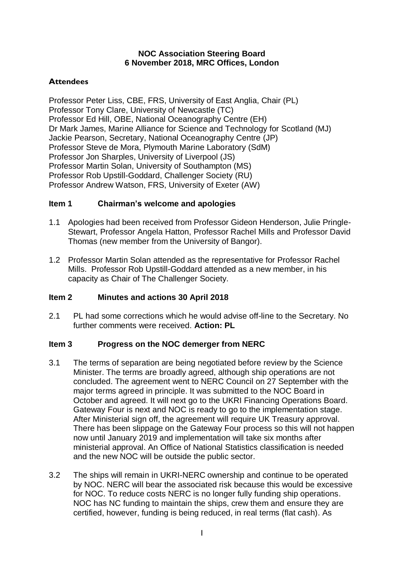#### **NOC Association Steering Board 6 November 2018, MRC Offices, London**

### **Attendees**

Professor Peter Liss, CBE, FRS, University of East Anglia, Chair (PL) Professor Tony Clare, University of Newcastle (TC) Professor Ed Hill, OBE, National Oceanography Centre (EH) Dr Mark James, Marine Alliance for Science and Technology for Scotland (MJ) Jackie Pearson, Secretary, National Oceanography Centre (JP) Professor Steve de Mora, Plymouth Marine Laboratory (SdM) Professor Jon Sharples, University of Liverpool (JS) Professor Martin Solan, University of Southampton (MS) Professor Rob Upstill-Goddard, Challenger Society (RU) Professor Andrew Watson, FRS, University of Exeter (AW)

#### **Item 1 Chairman's welcome and apologies**

- 1.1 Apologies had been received from Professor Gideon Henderson, Julie Pringle-Stewart, Professor Angela Hatton, Professor Rachel Mills and Professor David Thomas (new member from the University of Bangor).
- 1.2 Professor Martin Solan attended as the representative for Professor Rachel Mills. Professor Rob Upstill-Goddard attended as a new member, in his capacity as Chair of The Challenger Society.

## **Item 2 Minutes and actions 30 April 2018**

2.1 PL had some corrections which he would advise off-line to the Secretary. No further comments were received. **Action: PL**

#### **Item 3 Progress on the NOC demerger from NERC**

- 3.1 The terms of separation are being negotiated before review by the Science Minister. The terms are broadly agreed, although ship operations are not concluded. The agreement went to NERC Council on 27 September with the major terms agreed in principle. It was submitted to the NOC Board in October and agreed. It will next go to the UKRI Financing Operations Board. Gateway Four is next and NOC is ready to go to the implementation stage. After Ministerial sign off, the agreement will require UK Treasury approval. There has been slippage on the Gateway Four process so this will not happen now until January 2019 and implementation will take six months after ministerial approval. An Office of National Statistics classification is needed and the new NOC will be outside the public sector.
- 3.2 The ships will remain in UKRI-NERC ownership and continue to be operated by NOC. NERC will bear the associated risk because this would be excessive for NOC. To reduce costs NERC is no longer fully funding ship operations. NOC has NC funding to maintain the ships, crew them and ensure they are certified, however, funding is being reduced, in real terms (flat cash). As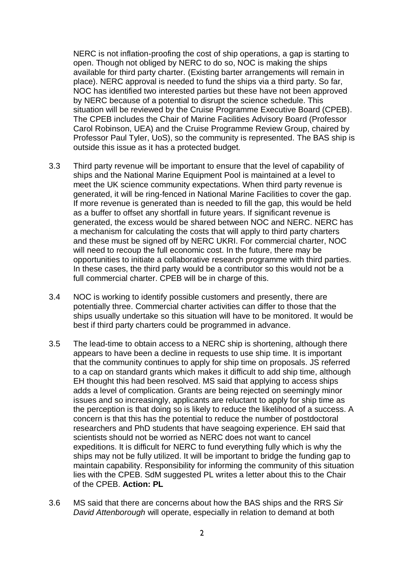NERC is not inflation-proofing the cost of ship operations, a gap is starting to open. Though not obliged by NERC to do so, NOC is making the ships available for third party charter. (Existing barter arrangements will remain in place). NERC approval is needed to fund the ships via a third party. So far, NOC has identified two interested parties but these have not been approved by NERC because of a potential to disrupt the science schedule. This situation will be reviewed by the Cruise Programme Executive Board (CPEB). The CPEB includes the Chair of Marine Facilities Advisory Board (Professor Carol Robinson, UEA) and the Cruise Programme Review Group, chaired by Professor Paul Tyler, UoS), so the community is represented. The BAS ship is outside this issue as it has a protected budget.

- 3.3 Third party revenue will be important to ensure that the level of capability of ships and the National Marine Equipment Pool is maintained at a level to meet the UK science community expectations. When third party revenue is generated, it will be ring-fenced in National Marine Facilities to cover the gap. If more revenue is generated than is needed to fill the gap, this would be held as a buffer to offset any shortfall in future years. If significant revenue is generated, the excess would be shared between NOC and NERC. NERC has a mechanism for calculating the costs that will apply to third party charters and these must be signed off by NERC UKRI. For commercial charter, NOC will need to recoup the full economic cost. In the future, there may be opportunities to initiate a collaborative research programme with third parties. In these cases, the third party would be a contributor so this would not be a full commercial charter. CPEB will be in charge of this.
- 3.4 NOC is working to identify possible customers and presently, there are potentially three. Commercial charter activities can differ to those that the ships usually undertake so this situation will have to be monitored. It would be best if third party charters could be programmed in advance.
- 3.5 The lead-time to obtain access to a NERC ship is shortening, although there appears to have been a decline in requests to use ship time. It is important that the community continues to apply for ship time on proposals. JS referred to a cap on standard grants which makes it difficult to add ship time, although EH thought this had been resolved. MS said that applying to access ships adds a level of complication. Grants are being rejected on seemingly minor issues and so increasingly, applicants are reluctant to apply for ship time as the perception is that doing so is likely to reduce the likelihood of a success. A concern is that this has the potential to reduce the number of postdoctoral researchers and PhD students that have seagoing experience. EH said that scientists should not be worried as NERC does not want to cancel expeditions. It is difficult for NERC to fund everything fully which is why the ships may not be fully utilized. It will be important to bridge the funding gap to maintain capability. Responsibility for informing the community of this situation lies with the CPEB. SdM suggested PL writes a letter about this to the Chair of the CPEB. **Action: PL**
- 3.6 MS said that there are concerns about how the BAS ships and the RRS *Sir David Attenborough* will operate, especially in relation to demand at both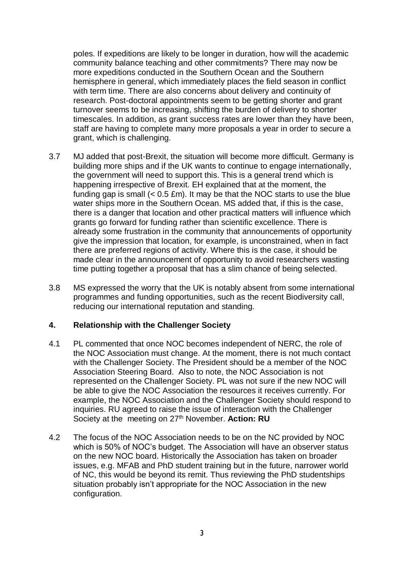poles. If expeditions are likely to be longer in duration, how will the academic community balance teaching and other commitments? There may now be more expeditions conducted in the Southern Ocean and the Southern hemisphere in general, which immediately places the field season in conflict with term time. There are also concerns about delivery and continuity of research. Post-doctoral appointments seem to be getting shorter and grant turnover seems to be increasing, shifting the burden of delivery to shorter timescales. In addition, as grant success rates are lower than they have been, staff are having to complete many more proposals a year in order to secure a grant, which is challenging.

- 3.7 MJ added that post-Brexit, the situation will become more difficult. Germany is building more ships and if the UK wants to continue to engage internationally, the government will need to support this. This is a general trend which is happening irrespective of Brexit. EH explained that at the moment, the funding gap is small  $(< 0.5 \text{ fm})$ . It may be that the NOC starts to use the blue water ships more in the Southern Ocean. MS added that, if this is the case, there is a danger that location and other practical matters will influence which grants go forward for funding rather than scientific excellence. There is already some frustration in the community that announcements of opportunity give the impression that location, for example, is unconstrained, when in fact there are preferred regions of activity. Where this is the case, it should be made clear in the announcement of opportunity to avoid researchers wasting time putting together a proposal that has a slim chance of being selected.
- 3.8 MS expressed the worry that the UK is notably absent from some international programmes and funding opportunities, such as the recent Biodiversity call, reducing our international reputation and standing.

#### **4. Relationship with the Challenger Society**

- 4.1 PL commented that once NOC becomes independent of NERC, the role of the NOC Association must change. At the moment, there is not much contact with the Challenger Society. The President should be a member of the NOC Association Steering Board. Also to note, the NOC Association is not represented on the Challenger Society. PL was not sure if the new NOC will be able to give the NOC Association the resources it receives currently. For example, the NOC Association and the Challenger Society should respond to inquiries. RU agreed to raise the issue of interaction with the Challenger Society at the meeting on 27<sup>th</sup> November. **Action: RU**
- 4.2 The focus of the NOC Association needs to be on the NC provided by NOC which is 50% of NOC's budget. The Association will have an observer status on the new NOC board. Historically the Association has taken on broader issues, e.g. MFAB and PhD student training but in the future, narrower world of NC, this would be beyond its remit. Thus reviewing the PhD studentships situation probably isn't appropriate for the NOC Association in the new configuration.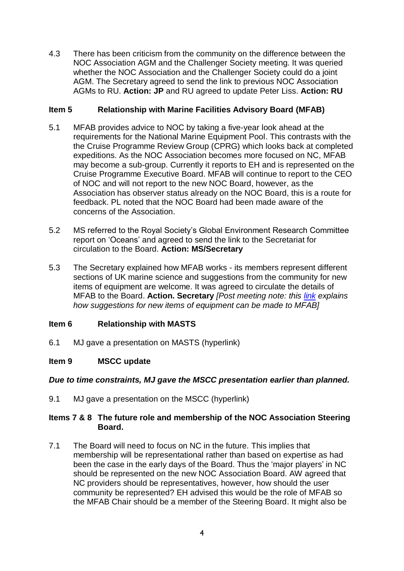4.3 There has been criticism from the community on the difference between the NOC Association AGM and the Challenger Society meeting. It was queried whether the NOC Association and the Challenger Society could do a joint AGM. The Secretary agreed to send the link to previous NOC Association AGMs to RU. **Action: JP** and RU agreed to update Peter Liss. **Action: RU**

## **Item 5 Relationship with Marine Facilities Advisory Board (MFAB)**

- 5.1 MFAB provides advice to NOC by taking a five-year look ahead at the requirements for the National Marine Equipment Pool. This contrasts with the the Cruise Programme Review Group (CPRG) which looks back at completed expeditions. As the NOC Association becomes more focused on NC, MFAB may become a sub-group. Currently it reports to EH and is represented on the Cruise Programme Executive Board. MFAB will continue to report to the CEO of NOC and will not report to the new NOC Board, however, as the Association has observer status already on the NOC Board, this is a route for feedback. PL noted that the NOC Board had been made aware of the concerns of the Association.
- 5.2 MS referred to the Royal Society's Global Environment Research Committee report on 'Oceans' and agreed to send the link to the Secretariat for circulation to the Board. **Action: MS/Secretary**
- 5.3 The Secretary explained how MFAB works its members represent different sections of UK marine science and suggestions from the community for new items of equipment are welcome. It was agreed to circulate the details of MFAB to the Board. **Action. Secretary** *[Post meeting note: this [link](https://noc.ac.uk/files/documents/about/ispo/MFAB_Capital_Expenditure_Proposal_Form_July_26th_2018.pdf) explains how suggestions for new items of equipment can be made to MFAB]*

# **Item 6 Relationship with MASTS**

6.1 MJ gave a presentation on MASTS (hyperlink)

## **Item 9 MSCC update**

## *Due to time constraints, MJ gave the MSCC presentation earlier than planned.*

9.1 MJ gave a presentation on the MSCC (hyperlink)

#### **Items 7 & 8 The future role and membership of the NOC Association Steering Board.**

7.1 The Board will need to focus on NC in the future. This implies that membership will be representational rather than based on expertise as had been the case in the early days of the Board. Thus the 'major players' in NC should be represented on the new NOC Association Board. AW agreed that NC providers should be representatives, however, how should the user community be represented? EH advised this would be the role of MFAB so the MFAB Chair should be a member of the Steering Board. It might also be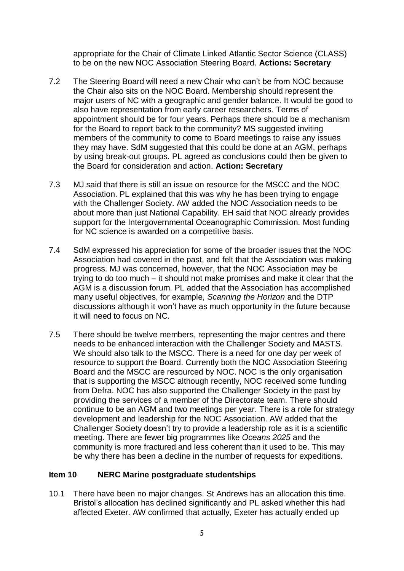appropriate for the Chair of Climate Linked Atlantic Sector Science (CLASS) to be on the new NOC Association Steering Board. **Actions: Secretary**

- 7.2 The Steering Board will need a new Chair who can't be from NOC because the Chair also sits on the NOC Board. Membership should represent the major users of NC with a geographic and gender balance. It would be good to also have representation from early career researchers. Terms of appointment should be for four years. Perhaps there should be a mechanism for the Board to report back to the community? MS suggested inviting members of the community to come to Board meetings to raise any issues they may have. SdM suggested that this could be done at an AGM, perhaps by using break-out groups. PL agreed as conclusions could then be given to the Board for consideration and action. **Action: Secretary**
- 7.3 MJ said that there is still an issue on resource for the MSCC and the NOC Association. PL explained that this was why he has been trying to engage with the Challenger Society. AW added the NOC Association needs to be about more than just National Capability. EH said that NOC already provides support for the Intergovernmental Oceanographic Commission. Most funding for NC science is awarded on a competitive basis.
- 7.4 SdM expressed his appreciation for some of the broader issues that the NOC Association had covered in the past, and felt that the Association was making progress. MJ was concerned, however, that the NOC Association may be trying to do too much – it should not make promises and make it clear that the AGM is a discussion forum. PL added that the Association has accomplished many useful objectives, for example, *Scanning the Horizon* and the DTP discussions although it won't have as much opportunity in the future because it will need to focus on NC.
- 7.5 There should be twelve members, representing the major centres and there needs to be enhanced interaction with the Challenger Society and MASTS. We should also talk to the MSCC. There is a need for one day per week of resource to support the Board. Currently both the NOC Association Steering Board and the MSCC are resourced by NOC. NOC is the only organisation that is supporting the MSCC although recently, NOC received some funding from Defra. NOC has also supported the Challenger Society in the past by providing the services of a member of the Directorate team. There should continue to be an AGM and two meetings per year. There is a role for strategy development and leadership for the NOC Association. AW added that the Challenger Society doesn't try to provide a leadership role as it is a scientific meeting. There are fewer big programmes like *Oceans 2025* and the community is more fractured and less coherent than it used to be. This may be why there has been a decline in the number of requests for expeditions.

#### **Item 10 NERC Marine postgraduate studentships**

10.1 There have been no major changes. St Andrews has an allocation this time. Bristol's allocation has declined significantly and PL asked whether this had affected Exeter. AW confirmed that actually, Exeter has actually ended up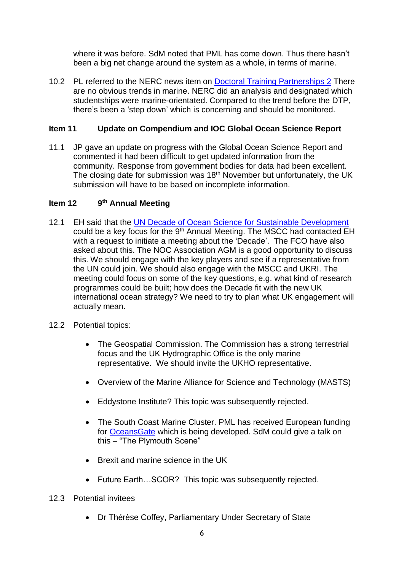where it was before. SdM noted that PML has come down. Thus there hasn't been a big net change around the system as a whole, in terms of marine.

10.2 PL referred to the NERC news item on [Doctoral Training Partnerships 2](https://nerc.ukri.org/funding/available/postgrad/responsive/dtp/dtp2/) There are no obvious trends in marine. NERC did an analysis and designated which studentships were marine-orientated. Compared to the trend before the DTP, there's been a 'step down' which is concerning and should be monitored.

## **Item 11 Update on Compendium and IOC Global Ocean Science Report**

11.1 JP gave an update on progress with the Global Ocean Science Report and commented it had been difficult to get updated information from the community. Response from government bodies for data had been excellent. The closing date for submission was  $18<sup>th</sup>$  November but unfortunately, the UK submission will have to be based on incomplete information.

#### **Item 12 9 th Annual Meeting**

- 12.1 EH said that the [UN Decade of Ocean Science for Sustainable Development](https://en.unesco.org/ocean-decade) could be a key focus for the 9<sup>th</sup> Annual Meeting. The MSCC had contacted EH with a request to initiate a meeting about the 'Decade'. The FCO have also asked about this. The NOC Association AGM is a good opportunity to discuss this. We should engage with the key players and see if a representative from the UN could join. We should also engage with the MSCC and UKRI. The meeting could focus on some of the key questions, e.g. what kind of research programmes could be built; how does the Decade fit with the new UK international ocean strategy? We need to try to plan what UK engagement will actually mean.
- 12.2 Potential topics:
	- The Geospatial Commission. The Commission has a strong terrestrial focus and the UK Hydrographic Office is the only marine representative. We should invite the UKHO representative.
	- Overview of the Marine Alliance for Science and Technology (MASTS)
	- Eddystone Institute? This topic was subsequently rejected.
	- The South Coast Marine Cluster. PML has received European funding for [OceansGate](http://www.oceansgateplymouth.com/) which is being developed. SdM could give a talk on this – "The Plymouth Scene"
	- Brexit and marine science in the UK
	- Future Earth…SCOR? This topic was subsequently rejected.
- 12.3 Potential invitees
	- Dr Thérèse Coffey, Parliamentary Under Secretary of State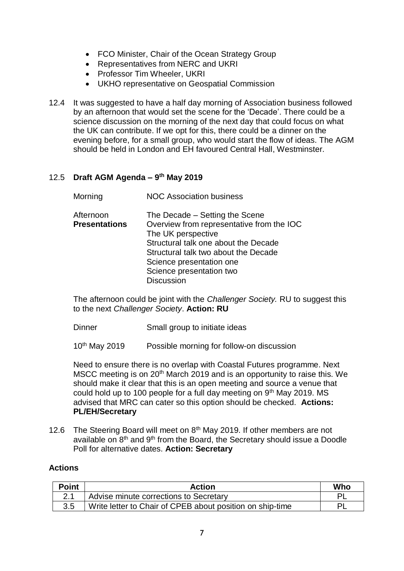- FCO Minister, Chair of the Ocean Strategy Group
- Representatives from NERC and UKRI
- Professor Tim Wheeler, UKRI
- UKHO representative on Geospatial Commission
- 12.4 It was suggested to have a half day morning of Association business followed by an afternoon that would set the scene for the 'Decade'. There could be a science discussion on the morning of the next day that could focus on what the UK can contribute. If we opt for this, there could be a dinner on the evening before, for a small group, who would start the flow of ideas. The AGM should be held in London and EH favoured Central Hall, Westminster.

#### 12.5 **Draft AGM Agenda – 9 th May 2019**

| Morning | <b>NOC Association business</b> |
|---------|---------------------------------|
|---------|---------------------------------|

| Afternoon            | The Decade – Setting the Scene            |
|----------------------|-------------------------------------------|
| <b>Presentations</b> | Overview from representative from the IOC |
|                      | The UK perspective                        |
|                      | Structural talk one about the Decade      |
|                      | Structural talk two about the Decade      |
|                      | Science presentation one                  |
|                      | Science presentation two                  |
|                      | <b>Discussion</b>                         |

The afternoon could be joint with the *Challenger Society.* RU to suggest this to the next *Challenger Society*. **Action: RU**

Dinner Small group to initiate ideas

10<sup>th</sup> May 2019 Possible morning for follow-on discussion

Need to ensure there is no overlap with Coastal Futures programme. Next MSCC meeting is on 20<sup>th</sup> March 2019 and is an opportunity to raise this. We should make it clear that this is an open meeting and source a venue that could hold up to 100 people for a full day meeting on  $9<sup>th</sup>$  May 2019. MS advised that MRC can cater so this option should be checked. **Actions: PL/EH/Secretary**

12.6 The Steering Board will meet on 8<sup>th</sup> May 2019. If other members are not available on  $8<sup>th</sup>$  and  $9<sup>th</sup>$  from the Board, the Secretary should issue a Doodle Poll for alternative dates. **Action: Secretary**

#### **Actions**

| <b>Point</b> | Action                                                    | Who |
|--------------|-----------------------------------------------------------|-----|
|              | Advise minute corrections to Secretary                    |     |
| 3.5          | Write letter to Chair of CPEB about position on ship-time | ΡI  |